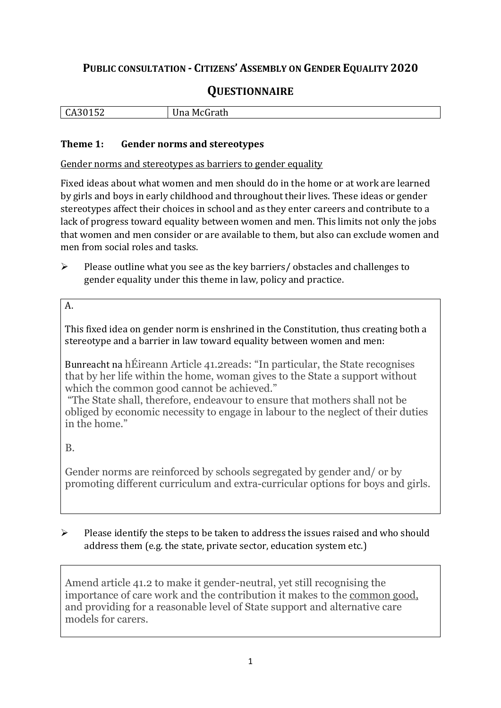# **PUBLIC CONSULTATION - CITIZENS' ASSEMBLY ON GENDER EQUALITY 2020**

# **QUESTIONNAIRE**

| $\sim$ $\sim$<br>ĒС<br>. .<br>-<br>104<br>ິ<br>$ -$ | .,<br>$m+h$<br>IVI (<br>יי<br>ша<br>auu<br>.<br>. |
|-----------------------------------------------------|---------------------------------------------------|
|                                                     |                                                   |

#### **Theme 1: Gender norms and stereotypes**

Gender norms and stereotypes as barriers to gender equality

Fixed ideas about what women and men should do in the home or at work are learned by girls and boys in early childhood and throughout their lives. These ideas or gender stereotypes affect their choices in school and as they enter careers and contribute to a lack of progress toward equality between women and men. This limits not only the jobs that women and men consider or are available to them, but also can exclude women and men from social roles and tasks.

➢ Please outline what you see as the key barriers/ obstacles and challenges to gender equality under this theme in law, policy and practice.

### A.

This fixed idea on gender norm is enshrined in the Constitution, thus creating both a stereotype and a barrier in law toward equality between women and men:

Bunreacht na hÉireann Article 41.2reads: "In particular, the State recognises that by her life within the home, woman gives to the State a support without which the common good cannot be achieved."

"The State shall, therefore, endeavour to ensure that mothers shall not be obliged by economic necessity to engage in labour to the neglect of their duties in the home"

B.

Gender norms are reinforced by schools segregated by gender and/ or by promoting different curriculum and extra-curricular options for boys and girls.

➢ Please identify the steps to be taken to address the issues raised and who should address them (e.g. the state, private sector, education system etc.)

Amend article 41.2 to make it gender-neutral, yet still recognising the importance of care work and the contribution it makes to the common good, and providing for a reasonable level of State support and alternative care models for carers.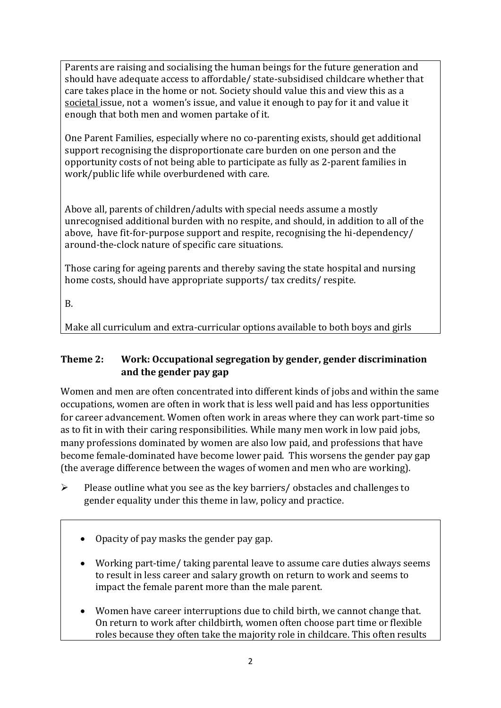Parents are raising and socialising the human beings for the future generation and should have adequate access to affordable/ state-subsidised childcare whether that care takes place in the home or not. Society should value this and view this as a societal issue, not a women's issue, and value it enough to pay for it and value it enough that both men and women partake of it.

One Parent Families, especially where no co-parenting exists, should get additional support recognising the disproportionate care burden on one person and the opportunity costs of not being able to participate as fully as 2-parent families in work/public life while overburdened with care.

Above all, parents of children/adults with special needs assume a mostly unrecognised additional burden with no respite, and should, in addition to all of the above, have fit-for-purpose support and respite, recognising the hi-dependency/ around-the-clock nature of specific care situations.

Those caring for ageing parents and thereby saving the state hospital and nursing home costs, should have appropriate supports/ tax credits/ respite.

B.

Make all curriculum and extra-curricular options available to both boys and girls

#### **Theme 2: Work: Occupational segregation by gender, gender discrimination and the gender pay gap**

Women and men are often concentrated into different kinds of jobs and within the same occupations, women are often in work that is less well paid and has less opportunities for career advancement. Women often work in areas where they can work part-time so as to fit in with their caring responsibilities. While many men work in low paid jobs, many professions dominated by women are also low paid, and professions that have become female-dominated have become lower paid. This worsens the gender pay gap (the average difference between the wages of women and men who are working).

- ➢ Please outline what you see as the key barriers/ obstacles and challenges to gender equality under this theme in law, policy and practice.
	- Opacity of pay masks the gender pay gap.
	- Working part-time/ taking parental leave to assume care duties always seems to result in less career and salary growth on return to work and seems to impact the female parent more than the male parent.
	- Women have career interruptions due to child birth, we cannot change that. On return to work after childbirth, women often choose part time or flexible roles because they often take the majority role in childcare. This often results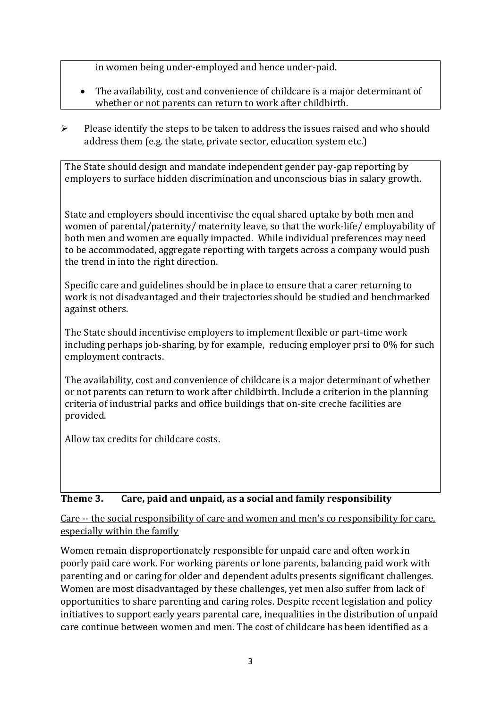in women being under-employed and hence under-paid.

- The availability, cost and convenience of childcare is a major determinant of whether or not parents can return to work after childbirth.
- $\triangleright$  Please identify the steps to be taken to address the issues raised and who should address them (e.g. the state, private sector, education system etc.)

The State should design and mandate independent gender pay-gap reporting by employers to surface hidden discrimination and unconscious bias in salary growth.

State and employers should incentivise the equal shared uptake by both men and women of parental/paternity/ maternity leave, so that the work-life/ employability of both men and women are equally impacted. While individual preferences may need to be accommodated, aggregate reporting with targets across a company would push the trend in into the right direction.

Specific care and guidelines should be in place to ensure that a carer returning to work is not disadvantaged and their trajectories should be studied and benchmarked against others.

The State should incentivise employers to implement flexible or part-time work including perhaps job-sharing, by for example, reducing employer prsi to 0% for such employment contracts.

The availability, cost and convenience of childcare is a major determinant of whether or not parents can return to work after childbirth. Include a criterion in the planning criteria of industrial parks and office buildings that on-site creche facilities are provided.

Allow tax credits for childcare costs.

## **Theme 3. Care, paid and unpaid, as a social and family responsibility**

Care -- the social responsibility of care and women and men's co responsibility for care, especially within the family

Women remain disproportionately responsible for unpaid care and often work in poorly paid care work. For working parents or [lone parents,](https://aran.library.nuigalway.ie/bitstream/handle/10379/6044/Millar_and_Crosse_Activation_Report.pdf?sequence=1&isAllowed=y) balancing paid work with parenting and or caring for older and dependent adults presents significant challenges. Women are [most disadvantaged by these challenges,](https://eige.europa.eu/gender-equality-index/game/IE/W) yet men also suffer from lack of opportunities to share parenting and caring roles. Despite recent legislation and policy initiatives to support early years parental care, [inequalities in the distribution of unpaid](https://www.ihrec.ie/app/uploads/2019/07/Caring-and-Unpaid-Work-in-Ireland_Final.pdf)  [care](https://www.ihrec.ie/app/uploads/2019/07/Caring-and-Unpaid-Work-in-Ireland_Final.pdf) continue between women and men. The cost of childcare has been identified as a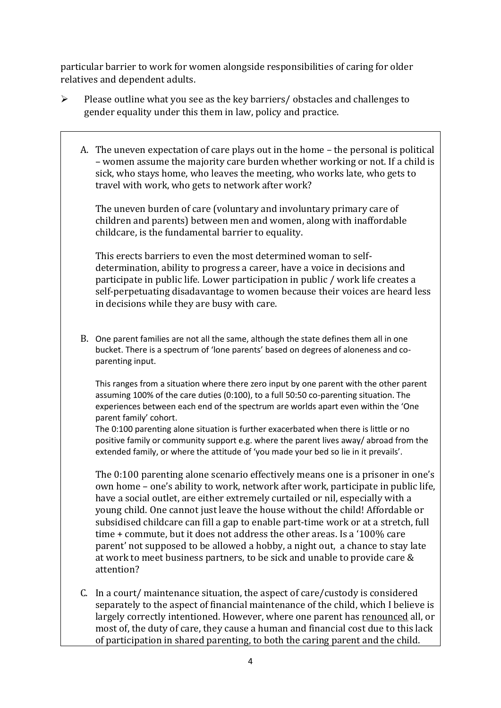particular barrier to work for women alongside responsibilities of caring for older relatives and dependent adults.

- ➢ Please outline what you see as the key barriers/ obstacles and challenges to gender equality under this them in law, policy and practice.
	- A. The uneven expectation of care plays out in the home the personal is political – women assume the majority care burden whether working or not. If a child is sick, who stays home, who leaves the meeting, who works late, who gets to travel with work, who gets to network after work?

The uneven burden of care (voluntary and involuntary primary care of children and parents) between men and women, along with inaffordable childcare, is the fundamental barrier to equality.

This erects barriers to even the most determined woman to selfdetermination, ability to progress a career, have a voice in decisions and participate in public life. Lower participation in public / work life creates a self-perpetuating disadavantage to women because their voices are heard less in decisions while they are busy with care.

B. One parent families are not all the same, although the state defines them all in one bucket. There is a spectrum of 'lone parents' based on degrees of aloneness and coparenting input.

This ranges from a situation where there zero input by one parent with the other parent assuming 100% of the care duties (0:100), to a full 50:50 co-parenting situation. The experiences between each end of the spectrum are worlds apart even within the 'One parent family' cohort.

The 0:100 parenting alone situation is further exacerbated when there is little or no positive family or community support e.g. where the parent lives away/ abroad from the extended family, or where the attitude of 'you made your bed so lie in it prevails'.

The 0:100 parenting alone scenario effectively means one is a prisoner in one's own home – one's ability to work, network after work, participate in public life, have a social outlet, are either extremely curtailed or nil, especially with a young child. One cannot just leave the house without the child! Affordable or subsidised childcare can fill a gap to enable part-time work or at a stretch, full time + commute, but it does not address the other areas. Is a '100% care parent' not supposed to be allowed a hobby, a night out, a chance to stay late at work to meet business partners, to be sick and unable to provide care & attention?

C. In a court/ maintenance situation, the aspect of care/custody is considered separately to the aspect of financial maintenance of the child, which I believe is largely correctly intentioned. However, where one parent has renounced all, or most of, the duty of care, they cause a human and financial cost due to this lack of participation in shared parenting, to both the caring parent and the child.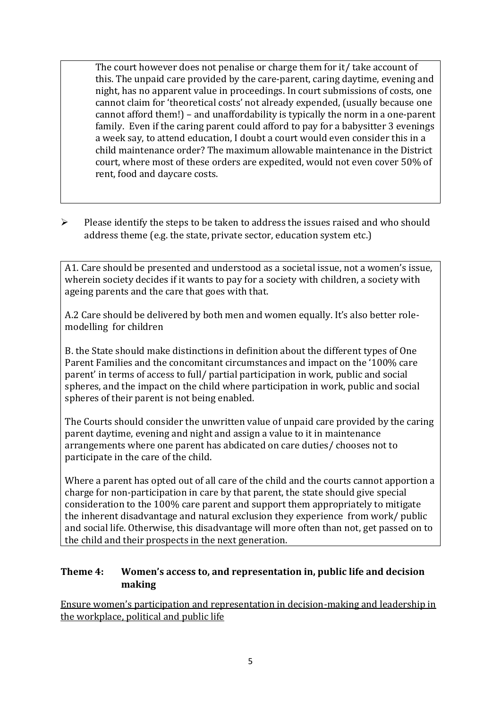The court however does not penalise or charge them for it/ take account of this. The unpaid care provided by the care-parent, caring daytime, evening and night, has no apparent value in proceedings. In court submissions of costs, one cannot claim for 'theoretical costs' not already expended, (usually because one cannot afford them!) – and unaffordability is typically the norm in a one-parent family. Even if the caring parent could afford to pay for a babysitter 3 evenings a week say, to attend education, I doubt a court would even consider this in a child maintenance order? The maximum allowable maintenance in the District court, where most of these orders are expedited, would not even cover 50% of rent, food and daycare costs.

➢ Please identify the steps to be taken to address the issues raised and who should address theme (e.g. the state, private sector, education system etc.)

A1. Care should be presented and understood as a societal issue, not a women's issue, wherein society decides if it wants to pay for a society with children, a society with ageing parents and the care that goes with that.

A.2 Care should be delivered by both men and women equally. It's also better rolemodelling for children

B. the State should make distinctions in definition about the different types of One Parent Families and the concomitant circumstances and impact on the '100% care parent' in terms of access to full/ partial participation in work, public and social spheres, and the impact on the child where participation in work, public and social spheres of their parent is not being enabled.

The Courts should consider the unwritten value of unpaid care provided by the caring parent daytime, evening and night and assign a value to it in maintenance arrangements where one parent has abdicated on care duties/ chooses not to participate in the care of the child.

Where a parent has opted out of all care of the child and the courts cannot apportion a charge for non-participation in care by that parent, the state should give special consideration to the 100% care parent and support them appropriately to mitigate the inherent disadvantage and natural exclusion they experience from work/ public and social life. Otherwise, this disadvantage will more often than not, get passed on to the child and their prospects in the next generation.

#### **Theme 4: Women's access to, and representation in, public life and decision making**

Ensure women's participation and representation in decision-making and leadership in the workplace, political and public life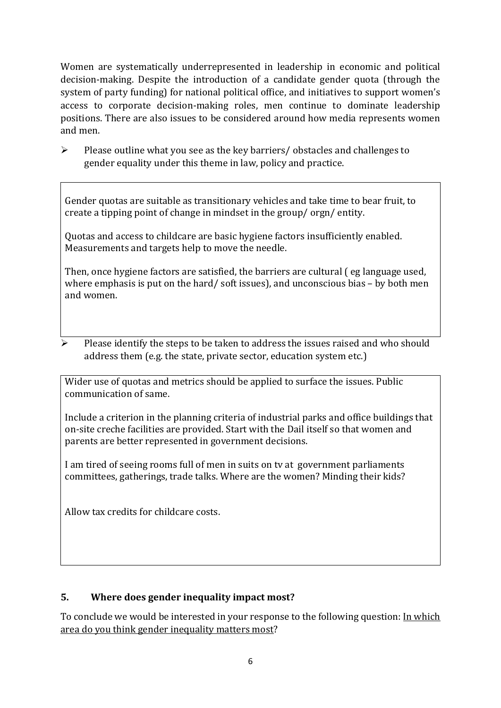Women are systematically underrepresented in leadership in [economic](https://eige.europa.eu/gender-equality-index/2019/compare-countries/power/2/bar) and [political](https://eige.europa.eu/gender-equality-index/2019/compare-countries/power/1/bar)  [decision-](https://eige.europa.eu/gender-equality-index/2019/compare-countries/power/1/bar)making. Despite the introduction of a candidate gender quota (through the system of party funding) for national political office, and [initiatives](https://betterbalance.ie/) to support women's access to corporate decision-making roles, men continue to dominate leadership positions. There are also issues to be considered around how media represents women and men.

➢ Please outline what you see as the key barriers/ obstacles and challenges to gender equality under this theme in law, policy and practice.

Gender quotas are suitable as transitionary vehicles and take time to bear fruit, to create a tipping point of change in mindset in the group/ orgn/ entity.

Quotas and access to childcare are basic hygiene factors insufficiently enabled. Measurements and targets help to move the needle.

Then, once hygiene factors are satisfied, the barriers are cultural ( eg language used, where emphasis is put on the hard/ soft issues), and unconscious bias – by both men and women.

➢ Please identify the steps to be taken to address the issues raised and who should address them (e.g. the state, private sector, education system etc.)

Wider use of quotas and metrics should be applied to surface the issues. Public communication of same.

Include a criterion in the planning criteria of industrial parks and office buildings that on-site creche facilities are provided. Start with the Dail itself so that women and parents are better represented in government decisions.

I am tired of seeing rooms full of men in suits on tv at government parliaments committees, gatherings, trade talks. Where are the women? Minding their kids?

Allow tax credits for childcare costs.

## **5. Where does gender inequality impact most?**

To conclude we would be interested in your response to the following question: In which area do you think gender inequality matters most?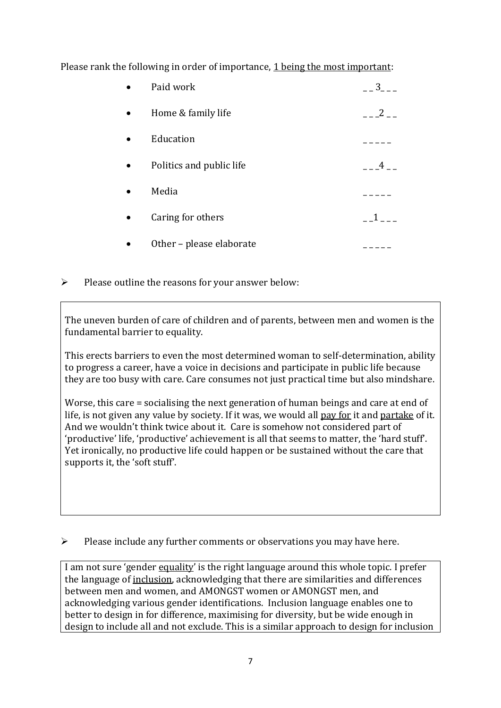Please rank the following in order of importance, 1 being the most important:

| Paid work                | 3 |
|--------------------------|---|
| Home & family life       | 2 |
| Education                |   |
| Politics and public life | 4 |
| Media                    |   |
| Caring for others        |   |
| Other - please elaborate |   |

### $\triangleright$  Please outline the reasons for your answer below:

The uneven burden of care of children and of parents, between men and women is the fundamental barrier to equality.

This erects barriers to even the most determined woman to self-determination, ability to progress a career, have a voice in decisions and participate in public life because they are too busy with care. Care consumes not just practical time but also mindshare.

Worse, this care = socialising the next generation of human beings and care at end of life, is not given any value by society. If it was, we would all pay for it and partake of it. And we wouldn't think twice about it. Care is somehow not considered part of 'productive' life, 'productive' achievement is all that seems to matter, the 'hard stuff'. Yet ironically, no productive life could happen or be sustained without the care that supports it, the 'soft stuff'.

➢ Please include any further comments or observations you may have here.

I am not sure 'gender equality' is the right language around this whole topic. I prefer the language of inclusion, acknowledging that there are similarities and differences between men and women, and AMONGST women or AMONGST men, and acknowledging various gender identifications. Inclusion language enables one to better to design in for difference, maximising for diversity, but be wide enough in design to include all and not exclude. This is a similar approach to design for inclusion